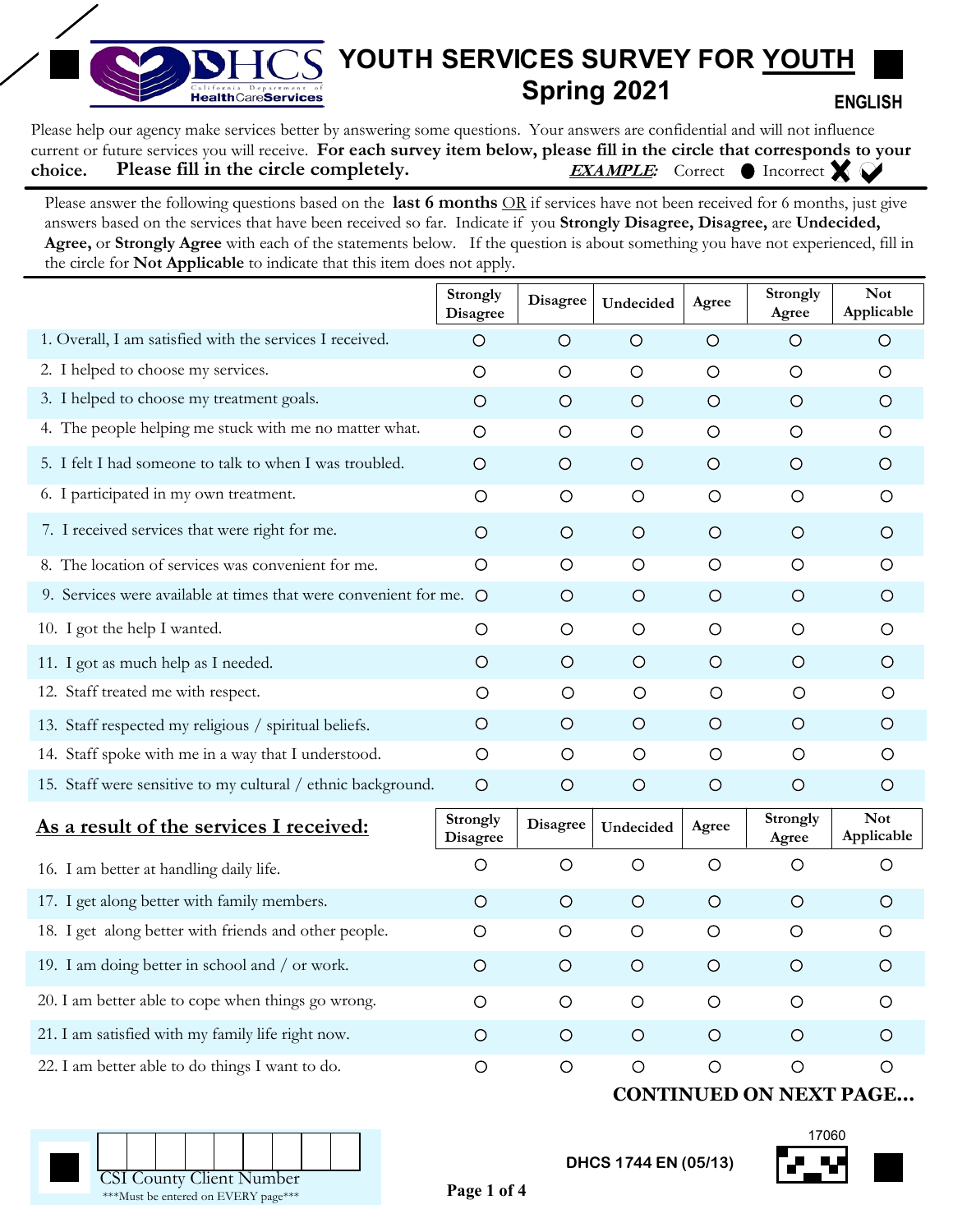## **YOUTH SERVICES SURVEY FOR YOUTH Spring 2021** California Department of  **ENGLISH**

Please help our agency make services better by answering some questions. Your answers are confidential and will not influence current or future services you will receive. **For each survey item below, please fill in the circle that corresponds to your choice. EXAMPLE:** Correct CIncorrect X **Please fill in the circle completely.** 

Please answer the following questions based on the **last 6 months** OR if services have not been received for 6 months, just give answers based on the services that have been received so far. Indicate if you **Strongly Disagree, Disagree,** are **Undecided, Agree,** or **Strongly Agree** with each of the statements below. If the question is about something you have not experienced, fill in the circle for **Not Applicable** to indicate that this item does not apply.

| $\circ$                     |                                                                                                                                  |           |         | Agree                    | Applicable                    |
|-----------------------------|----------------------------------------------------------------------------------------------------------------------------------|-----------|---------|--------------------------|-------------------------------|
|                             | $\circ$                                                                                                                          | $\circ$   | $\circ$ | $\circ$                  | $\circ$                       |
| $\circ$                     | $\circ$                                                                                                                          | $\circ$   | $\circ$ | $\circ$                  | O                             |
| $\circ$                     | $\circ$                                                                                                                          | $\circ$   | $\circ$ | $\circ$                  | $\circ$                       |
| $\circ$                     | $\circ$                                                                                                                          | $\circ$   | $\circ$ | $\circ$                  | $\circ$                       |
| $\circ$                     | $\circ$                                                                                                                          | $\circ$   | $\circ$ | $\circ$                  | $\circ$                       |
| $\circ$                     | O                                                                                                                                | $\circ$   | $\circ$ | $\circ$                  | O                             |
| $\circ$                     | $\circ$                                                                                                                          | $\circ$   | $\circ$ | $\circ$                  | $\circ$                       |
| $\circ$                     | $\circ$                                                                                                                          | $\circ$   | $\circ$ | $\circ$                  | $\circ$                       |
| $\circ$                     | $\circ$                                                                                                                          | $\circ$   | $\circ$ | $\circ$                  | $\circ$                       |
| $\circ$                     | $\circ$                                                                                                                          | $\circ$   | $\circ$ | $\circ$                  | $\circ$                       |
| $\circ$                     | $\circ$                                                                                                                          | $\circ$   | $\circ$ | $\circ$                  | $\circ$                       |
| $\circ$                     | $\circ$                                                                                                                          | $\circ$   | $\circ$ | $\circ$                  | $\circ$                       |
| $\circ$                     | $\circ$                                                                                                                          | $\circ$   | $\circ$ | $\circ$                  | $\circ$                       |
| O                           | $\circ$                                                                                                                          | $\circ$   | $\circ$ | $\circ$                  | $\circ$                       |
| $\circ$                     | $\circ$                                                                                                                          | $\circ$   | $\circ$ | $\circ$                  | $\circ$                       |
| Strongly<br><b>Disagree</b> | <b>Disagree</b>                                                                                                                  | Undecided | Agree   | <b>Strongly</b><br>Agree | <b>Not</b><br>Applicable      |
| $\circ$                     | $\circ$                                                                                                                          | $\circ$   | $\circ$ | O                        | O                             |
| $\circ$                     | $\circ$                                                                                                                          | $\circ$   | $\circ$ | $\circ$                  | $\circ$                       |
| $\circ$                     | $\circ$                                                                                                                          | $\circ$   | $\circ$ | $\circ$                  | $\circ$                       |
| $\circ$                     | $\circ$                                                                                                                          | $\circ$   | $\circ$ | $\circ$                  | $\circ$                       |
| $\circ$                     | $\circ$                                                                                                                          | $\circ$   | $\circ$ | $\circ$                  | O                             |
| $\circ$                     | $\circ$                                                                                                                          | $\circ$   | $\circ$ | $\circ$                  | $\circ$                       |
| $\circ$                     | $\circ$                                                                                                                          | $\circ$   | $\circ$ | $\circ$                  | $\circ$                       |
|                             | 9. Services were available at times that were convenient for me.<br>15. Staff were sensitive to my cultural / ethnic background. |           |         |                          | <b>CONTINUED ON NEXT PAGE</b> |

**Page 1 of 4**



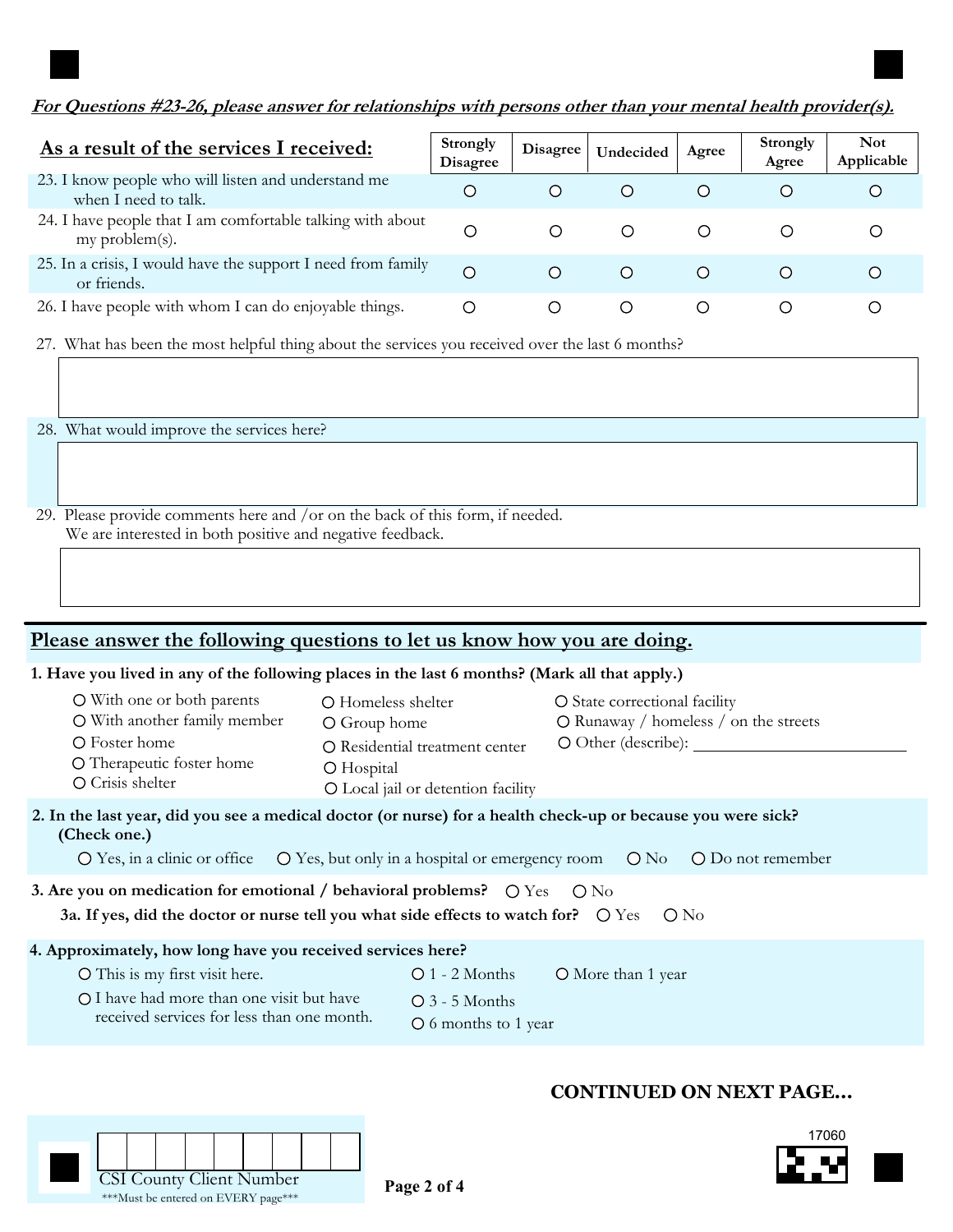## **For Questions #23-26, please answer for relationships with persons other than your mental health provider(s).**

| As a result of the services I received:                                      | Strongly<br><b>Disagree</b> | <b>Disagree</b> | Undecided        | Agree            | Strongly<br>Agree | <b>Not</b><br>Applicable |
|------------------------------------------------------------------------------|-----------------------------|-----------------|------------------|------------------|-------------------|--------------------------|
| 23. I know people who will listen and understand me<br>when I need to talk.  | С                           | $\bigcirc$      | $\left( \right)$ | $\circ$          |                   |                          |
| 24. I have people that I am comfortable talking with about<br>my problem(s). | Ω                           | ∩               | $\left($         | $\left( \right)$ |                   |                          |
| 25. In a crisis, I would have the support I need from family<br>or friends.  | $\bigcirc$                  | $\bigcap$       | $\bigcirc$       | $\left( \right)$ |                   |                          |
| 26. I have people with whom I can do enjoyable things.                       | O                           | $\cup$          | $\left( \right)$ | $\left( \right)$ |                   |                          |

27. What has been the most helpful thing about the services you received over the last 6 months?

28. What would improve the services here?

29. Please provide comments here and /or on the back of this form, if needed. We are interested in both positive and negative feedback.

# **Please answer the following questions to let us know how you are doing.**

## **1. Have you lived in any of the following places in the last 6 months? (Mark all that apply.)**

| O With one or both parents<br>O With another family member<br>O Foster home<br>O Therapeutic foster home<br>O Crisis shelter | O Homeless shelter<br>O Group home<br>O Residential treatment center<br>O Hospital<br>O Local jail or detention facility                                                                                                                                         | O State correctional facility<br>O Runaway / homeless / on the streets<br>$\circ$ Other (describe):                                                                                                                                                                     |  |
|------------------------------------------------------------------------------------------------------------------------------|------------------------------------------------------------------------------------------------------------------------------------------------------------------------------------------------------------------------------------------------------------------|-------------------------------------------------------------------------------------------------------------------------------------------------------------------------------------------------------------------------------------------------------------------------|--|
| (Check one.)                                                                                                                 |                                                                                                                                                                                                                                                                  | 2. In the last year, did you see a medical doctor (or nurse) for a health check-up or because you were sick?<br>$\overline{O}$ Yes, in a clinic or office $\overline{O}$ Yes, but only in a hospital or emergency room $\overline{O}$ No $\overline{O}$ Do not remember |  |
|                                                                                                                              | 3. Are you on medication for emotional / behavioral problems? $\circlearrowright$ $\circlearrowright$ $\circlearrowright$ $\circlearrowright$ $\circlearrowright$<br>3a. If yes, did the doctor or nurse tell you what side effects to watch for? $\bigcirc$ Yes | $\bigcirc$ No                                                                                                                                                                                                                                                           |  |
|                                                                                                                              |                                                                                                                                                                                                                                                                  |                                                                                                                                                                                                                                                                         |  |

## **4. Approximately, how long have you received services here?**

- O This is my first visit here. 0 1 2 Months
	- More than 1 year
- I have had more than one visit but have received services for less than one month.

\*\*\*Must be entered on EVERY page\*\*\*

3 - 5 Months 6 months to 1 year

# **CONTINUED ON NEXT PAGE...**

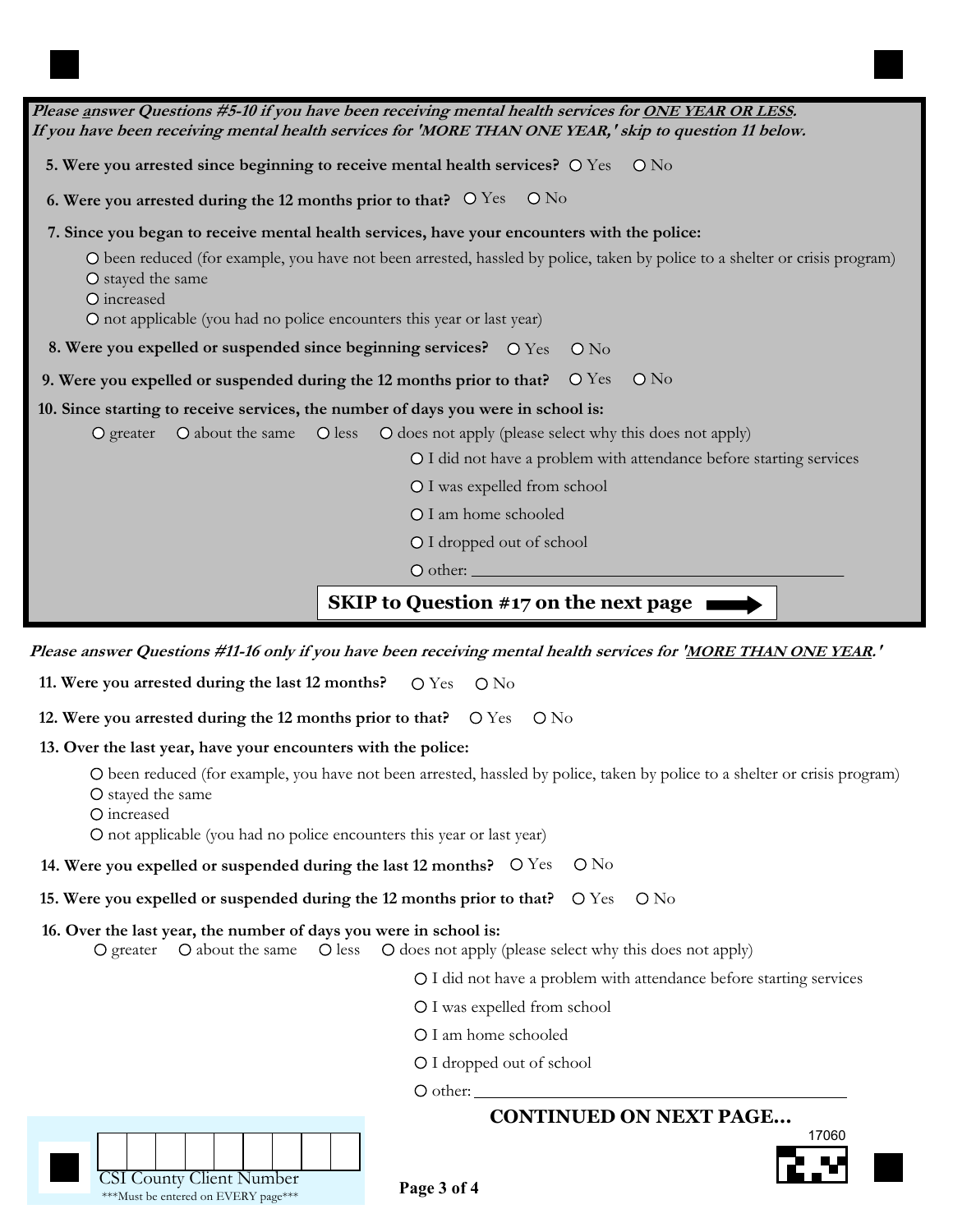| Please answer Questions #5-10 if you have been receiving mental health services for ONE YEAR OR LESS.<br>If you have been receiving mental health services for 'MORE THAN ONE YEAR,' skip to question 11 below.                           |
|-------------------------------------------------------------------------------------------------------------------------------------------------------------------------------------------------------------------------------------------|
| 5. Were you arrested since beginning to receive mental health services? O Yes O No                                                                                                                                                        |
| 6. Were you arrested during the 12 months prior to that? $\circ$ Yes $\circ$ No                                                                                                                                                           |
| 7. Since you began to receive mental health services, have your encounters with the police:                                                                                                                                               |
| O been reduced (for example, you have not been arrested, hassled by police, taken by police to a shelter or crisis program)<br>O stayed the same<br>O increased<br>O not applicable (you had no police encounters this year or last year) |
| 8. Were you expelled or suspended since beginning services? $\circ$ Yes $\circ$ No                                                                                                                                                        |
| 9. Were you expelled or suspended during the 12 months prior to that? O Yes O No                                                                                                                                                          |
| 10. Since starting to receive services, the number of days you were in school is:                                                                                                                                                         |
| O greater O about the same O less O does not apply (please select why this does not apply)                                                                                                                                                |
| O I did not have a problem with attendance before starting services                                                                                                                                                                       |
| O I was expelled from school                                                                                                                                                                                                              |
| O I am home schooled                                                                                                                                                                                                                      |
| O I dropped out of school                                                                                                                                                                                                                 |
|                                                                                                                                                                                                                                           |
| <b>SKIP</b> to Question #17 on the next page                                                                                                                                                                                              |

**Please answer Questions #11-16 only if you have been receiving mental health services for 'MORE THAN ONE YEAR.'**

**11. Were you arrested during the last 12 months?** O Yes O No

**12. Were you arrested during the 12 months prior to that?** O Yes O No

#### **13. Over the last year, have your encounters with the police:**

been reduced (for example, you have not been arrested, hassled by police, taken by police to a shelter or crisis program)

O stayed the same

O increased

not applicable (you had no police encounters this year or last year)

**14. Were you expelled or suspended during the last 12 months?**  $\bigcirc$  Yes  $\bigcirc$  No

**15. Were you expelled or suspended during the 12 months prior to that?** O Yes O No

#### **16. Over the last year, the number of days you were in school is:**

 $\bigcirc$  greater  $\bigcirc$  about the same  $\bigcirc$  does  $\bigcirc$  does not apply (please select why this does not apply)

I did not have a problem with attendance before starting services

- O I was expelled from school
- O I am home schooled
- I dropped out of school

 $\circ$  other:

# **CONTINUED ON NEXT PAGE...**





**Page 3 of 4**